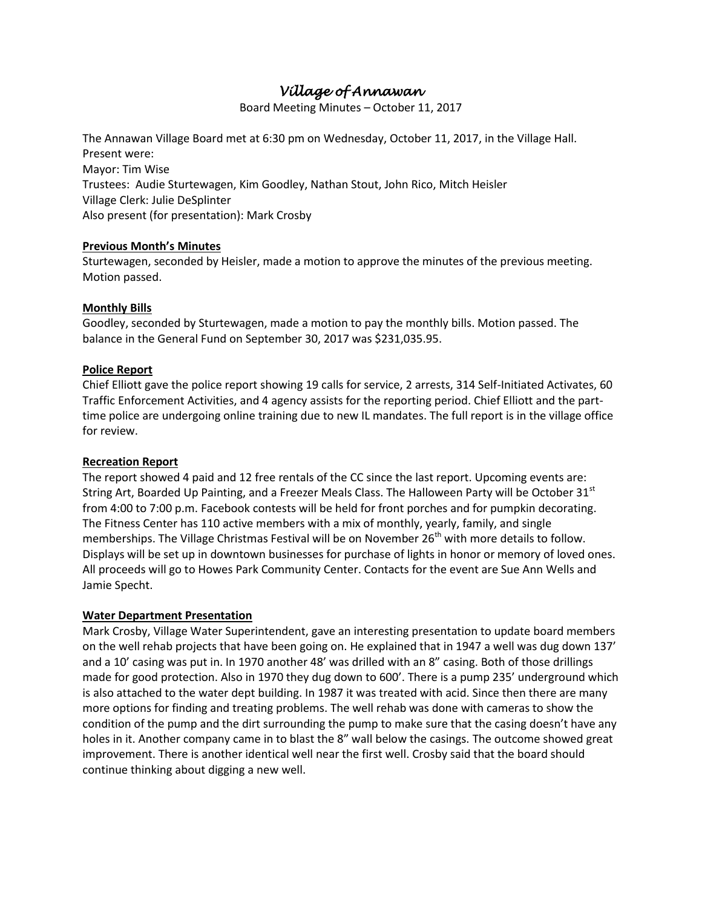# *Village of Annawan*

Board Meeting Minutes – October 11, 2017

The Annawan Village Board met at 6:30 pm on Wednesday, October 11, 2017, in the Village Hall. Present were: Mayor: Tim Wise Trustees: Audie Sturtewagen, Kim Goodley, Nathan Stout, John Rico, Mitch Heisler Village Clerk: Julie DeSplinter Also present (for presentation): Mark Crosby

### **Previous Month's Minutes**

Sturtewagen, seconded by Heisler, made a motion to approve the minutes of the previous meeting. Motion passed.

## **Monthly Bills**

Goodley, seconded by Sturtewagen, made a motion to pay the monthly bills. Motion passed. The balance in the General Fund on September 30, 2017 was \$231,035.95.

## **Police Report**

Chief Elliott gave the police report showing 19 calls for service, 2 arrests, 314 Self-Initiated Activates, 60 Traffic Enforcement Activities, and 4 agency assists for the reporting period. Chief Elliott and the parttime police are undergoing online training due to new IL mandates. The full report is in the village office for review.

### **Recreation Report**

The report showed 4 paid and 12 free rentals of the CC since the last report. Upcoming events are: String Art, Boarded Up Painting, and a Freezer Meals Class. The Halloween Party will be October 31 $^{st}$ from 4:00 to 7:00 p.m. Facebook contests will be held for front porches and for pumpkin decorating. The Fitness Center has 110 active members with a mix of monthly, yearly, family, and single memberships. The Village Christmas Festival will be on November 26<sup>th</sup> with more details to follow. Displays will be set up in downtown businesses for purchase of lights in honor or memory of loved ones. All proceeds will go to Howes Park Community Center. Contacts for the event are Sue Ann Wells and Jamie Specht.

### **Water Department Presentation**

Mark Crosby, Village Water Superintendent, gave an interesting presentation to update board members on the well rehab projects that have been going on. He explained that in 1947 a well was dug down 137' and a 10' casing was put in. In 1970 another 48' was drilled with an 8" casing. Both of those drillings made for good protection. Also in 1970 they dug down to 600'. There is a pump 235' underground which is also attached to the water dept building. In 1987 it was treated with acid. Since then there are many more options for finding and treating problems. The well rehab was done with cameras to show the condition of the pump and the dirt surrounding the pump to make sure that the casing doesn't have any holes in it. Another company came in to blast the 8" wall below the casings. The outcome showed great improvement. There is another identical well near the first well. Crosby said that the board should continue thinking about digging a new well.